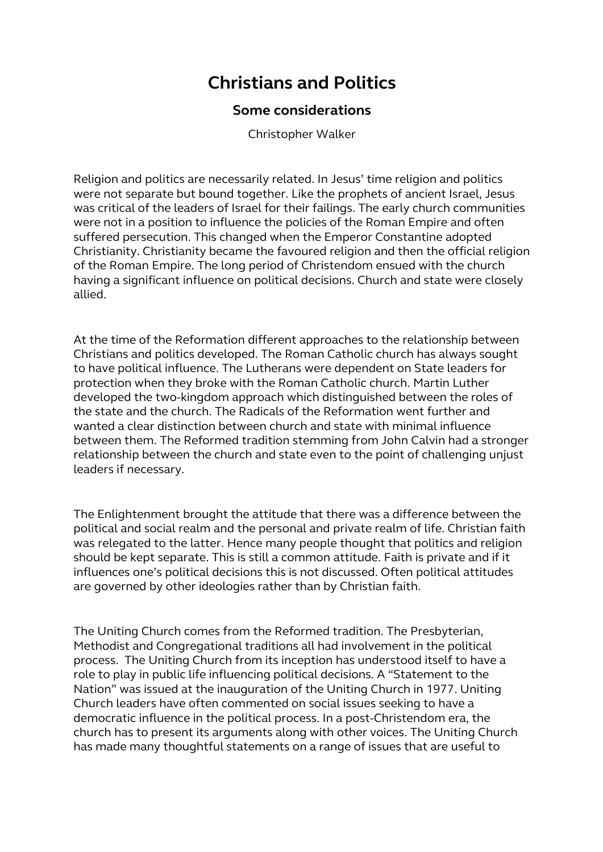## **Christians and Politics**

## **Some considerations**

Christopher Walker

Religion and politics are necessarily related. In Jesus' time religion and politics were not separate but bound together. Like the prophets of ancient Israel, Jesus was critical of the leaders of Israel for their failings. The early church communities were not in a position to influence the policies of the Roman Empire and often suffered persecution. This changed when the Emperor Constantine adopted Christianity. Christianity became the favoured religion and then the official religion of the Roman Empire. The long period of Christendom ensued with the church having a significant influence on political decisions. Church and state were closely allied.

At the time of the Reformation different approaches to the relationship between Christians and politics developed. The Roman Catholic church has always sought to have political influence. The Lutherans were dependent on State leaders for protection when they broke with the Roman Catholic church. Martin Luther developed the two-kingdom approach which distinguished between the roles of the state and the church. The Radicals of the Reformation went further and wanted a clear distinction between church and state with minimal influence between them. The Reformed tradition stemming from John Calvin had a stronger relationship between the church and state even to the point of challenging unjust leaders if necessary.

The Enlightenment brought the attitude that there was a difference between the political and social realm and the personal and private realm of life. Christian faith was relegated to the latter. Hence many people thought that politics and religion should be kept separate. This is still a common attitude. Faith is private and if it influences one's political decisions this is not discussed. Often political attitudes are governed by other ideologies rather than by Christian faith.

The Uniting Church comes from the Reformed tradition. The Presbyterian, Methodist and Congregational traditions all had involvement in the political process. The Uniting Church from its inception has understood itself to have a role to play in public life influencing political decisions. A "Statement to the Nation" was issued at the inauguration of the Uniting Church in 1977. Uniting Church leaders have often commented on social issues seeking to have a democratic influence in the political process. In a post-Christendom era, the church has to present its arguments along with other voices. The Uniting Church has made many thoughtful statements on a range of issues that are useful to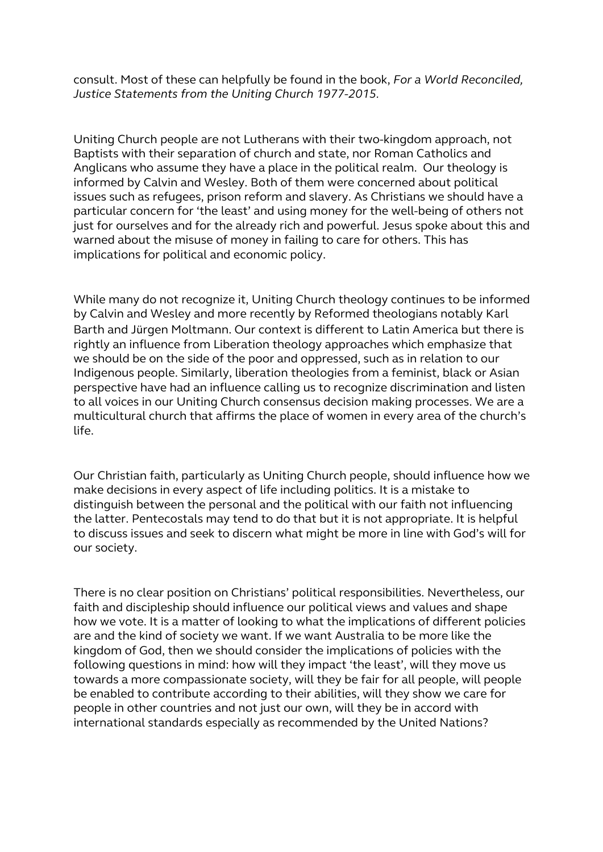consult. Most of these can helpfully be found in the book, *For a World Reconciled, Justice Statements from the Uniting Church 1977-2015.*

Uniting Church people are not Lutherans with their two-kingdom approach, not Baptists with their separation of church and state, nor Roman Catholics and Anglicans who assume they have a place in the political realm. Our theology is informed by Calvin and Wesley. Both of them were concerned about political issues such as refugees, prison reform and slavery. As Christians we should have a particular concern for 'the least' and using money for the well-being of others not just for ourselves and for the already rich and powerful. Jesus spoke about this and warned about the misuse of money in failing to care for others. This has implications for political and economic policy.

While many do not recognize it, Uniting Church theology continues to be informed by Calvin and Wesley and more recently by Reformed theologians notably Karl Barth and Jürgen Moltmann. Our context is different to Latin America but there is rightly an influence from Liberation theology approaches which emphasize that we should be on the side of the poor and oppressed, such as in relation to our Indigenous people. Similarly, liberation theologies from a feminist, black or Asian perspective have had an influence calling us to recognize discrimination and listen to all voices in our Uniting Church consensus decision making processes. We are a multicultural church that affirms the place of women in every area of the church's life.

Our Christian faith, particularly as Uniting Church people, should influence how we make decisions in every aspect of life including politics. It is a mistake to distinguish between the personal and the political with our faith not influencing the latter. Pentecostals may tend to do that but it is not appropriate. It is helpful to discuss issues and seek to discern what might be more in line with God's will for our society.

There is no clear position on Christians' political responsibilities. Nevertheless, our faith and discipleship should influence our political views and values and shape how we vote. It is a matter of looking to what the implications of different policies are and the kind of society we want. If we want Australia to be more like the kingdom of God, then we should consider the implications of policies with the following questions in mind: how will they impact 'the least', will they move us towards a more compassionate society, will they be fair for all people, will people be enabled to contribute according to their abilities, will they show we care for people in other countries and not just our own, will they be in accord with international standards especially as recommended by the United Nations?